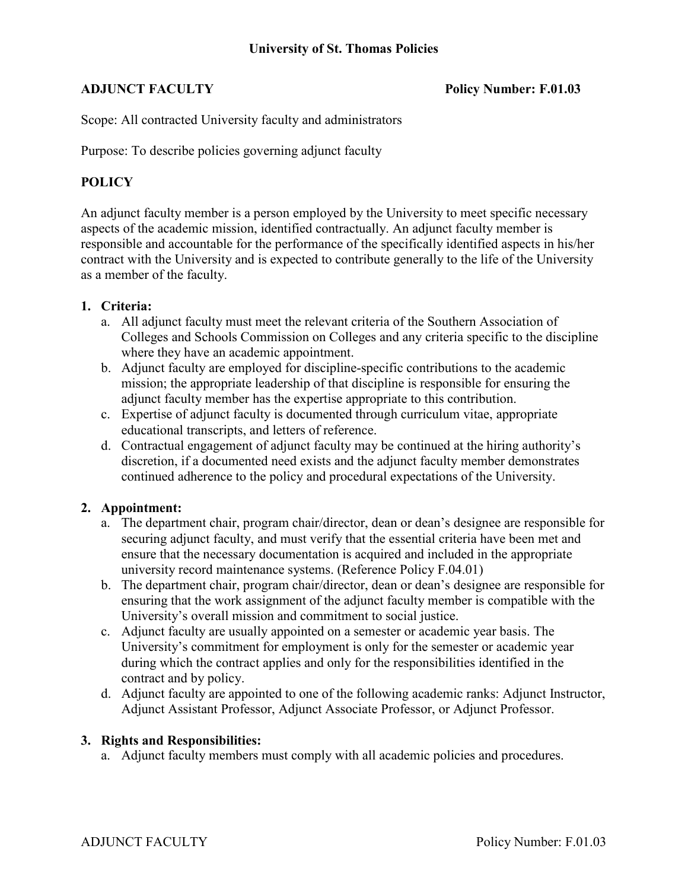#### **ADJUNCT FACULTY Policy Number: F.01.03**

Scope: All contracted University faculty and administrators

Purpose: To describe policies governing adjunct faculty

# **POLICY**

An adjunct faculty member is a person employed by the University to meet specific necessary aspects of the academic mission, identified contractually. An adjunct faculty member is responsible and accountable for the performance of the specifically identified aspects in his/her contract with the University and is expected to contribute generally to the life of the University as a member of the faculty.

## **1. Criteria:**

- a. All adjunct faculty must meet the relevant criteria of the Southern Association of Colleges and Schools Commission on Colleges and any criteria specific to the discipline where they have an academic appointment.
- b. Adjunct faculty are employed for discipline-specific contributions to the academic mission; the appropriate leadership of that discipline is responsible for ensuring the adjunct faculty member has the expertise appropriate to this contribution.
- c. Expertise of adjunct faculty is documented through curriculum vitae, appropriate educational transcripts, and letters of reference.
- d. Contractual engagement of adjunct faculty may be continued at the hiring authority's discretion, if a documented need exists and the adjunct faculty member demonstrates continued adherence to the policy and procedural expectations of the University.

## **2. Appointment:**

- a. The department chair, program chair/director, dean or dean's designee are responsible for securing adjunct faculty, and must verify that the essential criteria have been met and ensure that the necessary documentation is acquired and included in the appropriate university record maintenance systems. (Reference Policy F.04.01)
- b. The department chair, program chair/director, dean or dean's designee are responsible for ensuring that the work assignment of the adjunct faculty member is compatible with the University's overall mission and commitment to social justice.
- c. Adjunct faculty are usually appointed on a semester or academic year basis. The University's commitment for employment is only for the semester or academic year during which the contract applies and only for the responsibilities identified in the contract and by policy.
- d. Adjunct faculty are appointed to one of the following academic ranks: Adjunct Instructor, Adjunct Assistant Professor, Adjunct Associate Professor, or Adjunct Professor.

#### **3. Rights and Responsibilities:**

a. Adjunct faculty members must comply with all academic policies and procedures.